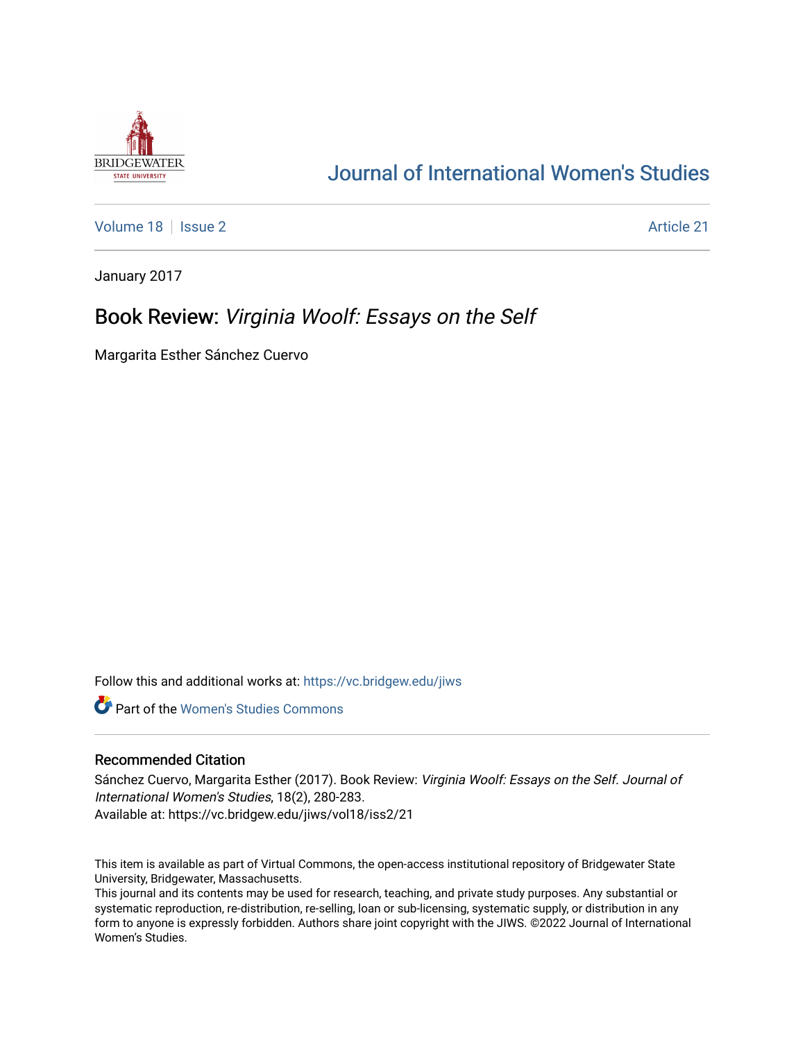

# [Journal of International Women's Studies](https://vc.bridgew.edu/jiws)

[Volume 18](https://vc.bridgew.edu/jiws/vol18) | [Issue 2](https://vc.bridgew.edu/jiws/vol18/iss2) Article 21

January 2017

## Book Review: Virginia Woolf: Essays on the Self

Margarita Esther Sánchez Cuervo

Follow this and additional works at: [https://vc.bridgew.edu/jiws](https://vc.bridgew.edu/jiws?utm_source=vc.bridgew.edu%2Fjiws%2Fvol18%2Fiss2%2F21&utm_medium=PDF&utm_campaign=PDFCoverPages)

**C** Part of the Women's Studies Commons

## Recommended Citation

Sánchez Cuervo, Margarita Esther (2017). Book Review: Virginia Woolf: Essays on the Self. Journal of International Women's Studies, 18(2), 280-283. Available at: https://vc.bridgew.edu/jiws/vol18/iss2/21

This item is available as part of Virtual Commons, the open-access institutional repository of Bridgewater State University, Bridgewater, Massachusetts.

This journal and its contents may be used for research, teaching, and private study purposes. Any substantial or systematic reproduction, re-distribution, re-selling, loan or sub-licensing, systematic supply, or distribution in any form to anyone is expressly forbidden. Authors share joint copyright with the JIWS. ©2022 Journal of International Women's Studies.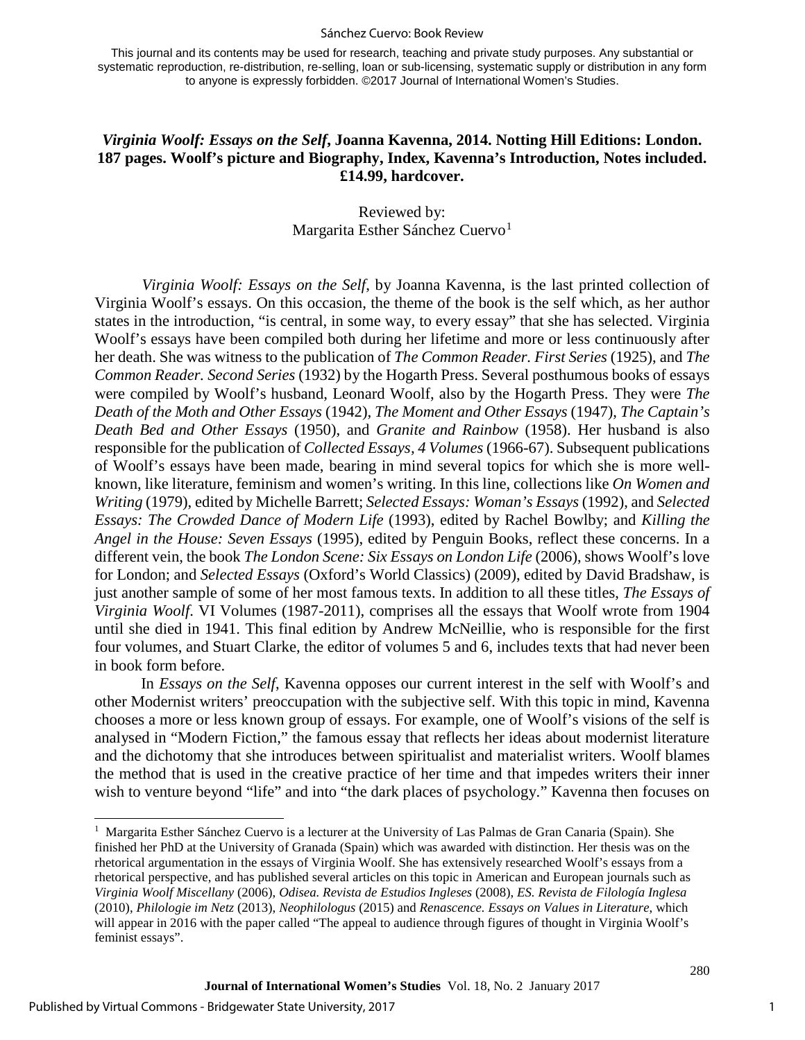#### Sánchez Cuervo: Book Review

This journal and its contents may be used for research, teaching and private study purposes. Any substantial or systematic reproduction, re-distribution, re-selling, loan or sub-licensing, systematic supply or distribution in any form to anyone is expressly forbidden. ©2017 Journal of International Women's Studies.

## *Virginia Woolf: Essays on the Self***, Joanna Kavenna, 2014. Notting Hill Editions: London. 187 pages. Woolf's picture and Biography, Index, Kavenna's Introduction, Notes included. £14.99, hardcover.**

## Reviewed by: Margarita Esther Sánchez Cuervo<sup>[1](#page-1-0)</sup>

*Virginia Woolf: Essays on the Self*, by Joanna Kavenna, is the last printed collection of Virginia Woolf's essays. On this occasion, the theme of the book is the self which, as her author states in the introduction, "is central, in some way, to every essay" that she has selected. Virginia Woolf's essays have been compiled both during her lifetime and more or less continuously after her death. She was witness to the publication of *The Common Reader. First Series* (1925), and *The Common Reader. Second Series* (1932) by the Hogarth Press. Several posthumous books of essays were compiled by Woolf's husband, Leonard Woolf, also by the Hogarth Press. They were *The Death of the Moth and Other Essays* (1942), *The Moment and Other Essays* (1947), *The Captain's Death Bed and Other Essays* (1950), and *Granite and Rainbow* (1958). Her husband is also responsible for the publication of *Collected Essays, 4 Volumes* (1966-67). Subsequent publications of Woolf's essays have been made, bearing in mind several topics for which she is more wellknown, like literature, feminism and women's writing. In this line, collections like *On Women and Writing* (1979), edited by Michelle Barrett; *Selected Essays: Woman's Essays* (1992), and *Selected Essays: The Crowded Dance of Modern Life* (1993), edited by Rachel Bowlby; and *Killing the Angel in the House: Seven Essays* (1995), edited by Penguin Books, reflect these concerns. In a different vein, the book *The London Scene: Six Essays on London Life* (2006), shows Woolf's love for London; and *Selected Essays* (Oxford's World Classics) (2009), edited by David Bradshaw, is just another sample of some of her most famous texts. In addition to all these titles, *The Essays of Virginia Woolf*. VI Volumes (1987-2011), comprises all the essays that Woolf wrote from 1904 until she died in 1941. This final edition by Andrew McNeillie, who is responsible for the first four volumes, and Stuart Clarke, the editor of volumes 5 and 6, includes texts that had never been in book form before.

In *Essays on the Self*, Kavenna opposes our current interest in the self with Woolf's and other Modernist writers' preoccupation with the subjective self. With this topic in mind, Kavenna chooses a more or less known group of essays. For example, one of Woolf's visions of the self is analysed in "Modern Fiction," the famous essay that reflects her ideas about modernist literature and the dichotomy that she introduces between spiritualist and materialist writers. Woolf blames the method that is used in the creative practice of her time and that impedes writers their inner wish to venture beyond "life" and into "the dark places of psychology." Kavenna then focuses on

 $\overline{a}$ 

<span id="page-1-0"></span><sup>&</sup>lt;sup>1</sup> Margarita Esther Sánchez Cuervo is a lecturer at the University of Las Palmas de Gran Canaria (Spain). She finished her PhD at the University of Granada (Spain) which was awarded with distinction. Her thesis was on the rhetorical argumentation in the essays of Virginia Woolf. She has extensively researched Woolf's essays from a rhetorical perspective, and has published several articles on this topic in American and European journals such as *Virginia Woolf Miscellany* (2006), *Odisea. Revista de Estudios Ingleses* (2008), *ES. Revista de Filología Inglesa* (2010), *Philologie im Netz* (2013), *Neophilologus* (2015) and *Renascence. Essays on Values in Literature*, which will appear in 2016 with the paper called "The appeal to audience through figures of thought in Virginia Woolf's feminist essays".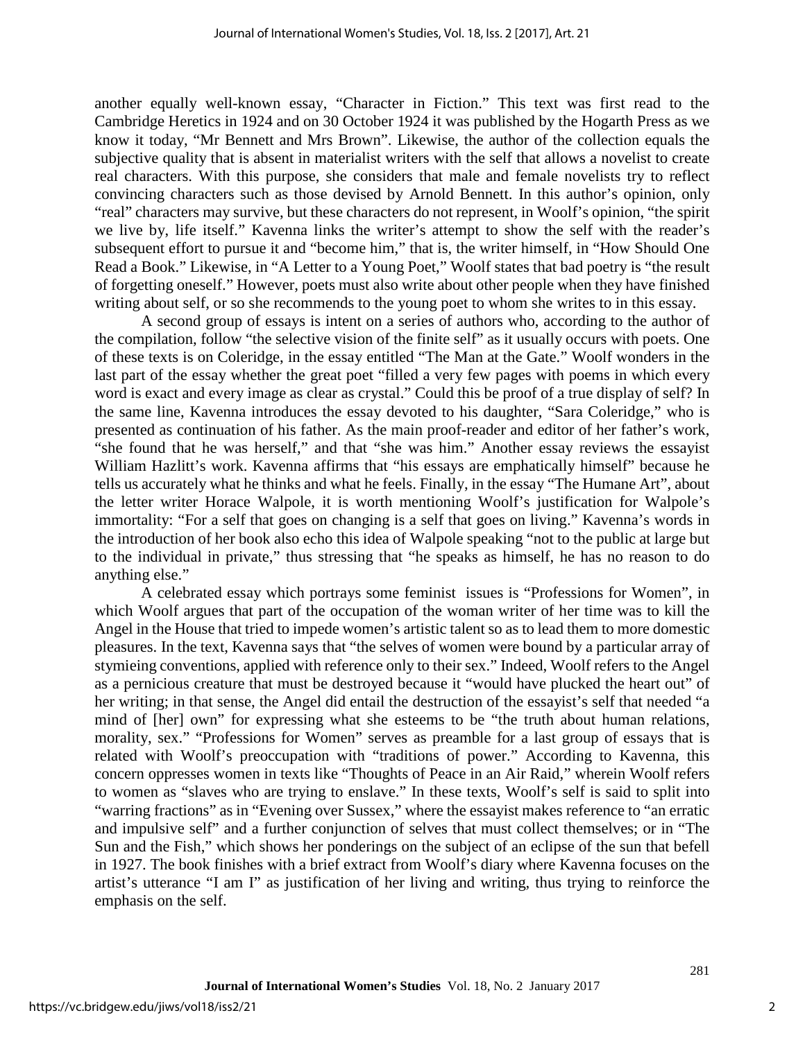another equally well-known essay, "Character in Fiction." This text was first read to the Cambridge Heretics in 1924 and on 30 October 1924 it was published by the Hogarth Press as we know it today, "Mr Bennett and Mrs Brown". Likewise, the author of the collection equals the subjective quality that is absent in materialist writers with the self that allows a novelist to create real characters. With this purpose, she considers that male and female novelists try to reflect convincing characters such as those devised by Arnold Bennett. In this author's opinion, only "real" characters may survive, but these characters do not represent, in Woolf's opinion, "the spirit we live by, life itself." Kavenna links the writer's attempt to show the self with the reader's subsequent effort to pursue it and "become him," that is, the writer himself, in "How Should One Read a Book." Likewise, in "A Letter to a Young Poet," Woolf states that bad poetry is "the result of forgetting oneself." However, poets must also write about other people when they have finished writing about self, or so she recommends to the young poet to whom she writes to in this essay.

A second group of essays is intent on a series of authors who, according to the author of the compilation, follow "the selective vision of the finite self" as it usually occurs with poets. One of these texts is on Coleridge, in the essay entitled "The Man at the Gate." Woolf wonders in the last part of the essay whether the great poet "filled a very few pages with poems in which every word is exact and every image as clear as crystal." Could this be proof of a true display of self? In the same line, Kavenna introduces the essay devoted to his daughter, "Sara Coleridge," who is presented as continuation of his father. As the main proof-reader and editor of her father's work, "she found that he was herself," and that "she was him." Another essay reviews the essayist William Hazlitt's work. Kavenna affirms that "his essays are emphatically himself" because he tells us accurately what he thinks and what he feels. Finally, in the essay "The Humane Art", about the letter writer Horace Walpole, it is worth mentioning Woolf's justification for Walpole's immortality: "For a self that goes on changing is a self that goes on living." Kavenna's words in the introduction of her book also echo this idea of Walpole speaking "not to the public at large but to the individual in private," thus stressing that "he speaks as himself, he has no reason to do anything else."

A celebrated essay which portrays some feminist issues is "Professions for Women", in which Woolf argues that part of the occupation of the woman writer of her time was to kill the Angel in the House that tried to impede women's artistic talent so as to lead them to more domestic pleasures. In the text, Kavenna says that "the selves of women were bound by a particular array of stymieing conventions, applied with reference only to their sex." Indeed, Woolf refers to the Angel as a pernicious creature that must be destroyed because it "would have plucked the heart out" of her writing; in that sense, the Angel did entail the destruction of the essayist's self that needed "a mind of [her] own" for expressing what she esteems to be "the truth about human relations, morality, sex." "Professions for Women" serves as preamble for a last group of essays that is related with Woolf's preoccupation with "traditions of power." According to Kavenna, this concern oppresses women in texts like "Thoughts of Peace in an Air Raid," wherein Woolf refers to women as "slaves who are trying to enslave." In these texts, Woolf's self is said to split into "warring fractions" as in "Evening over Sussex," where the essayist makes reference to "an erratic and impulsive self" and a further conjunction of selves that must collect themselves; or in "The Sun and the Fish," which shows her ponderings on the subject of an eclipse of the sun that befell in 1927. The book finishes with a brief extract from Woolf's diary where Kavenna focuses on the artist's utterance "I am I" as justification of her living and writing, thus trying to reinforce the emphasis on the self.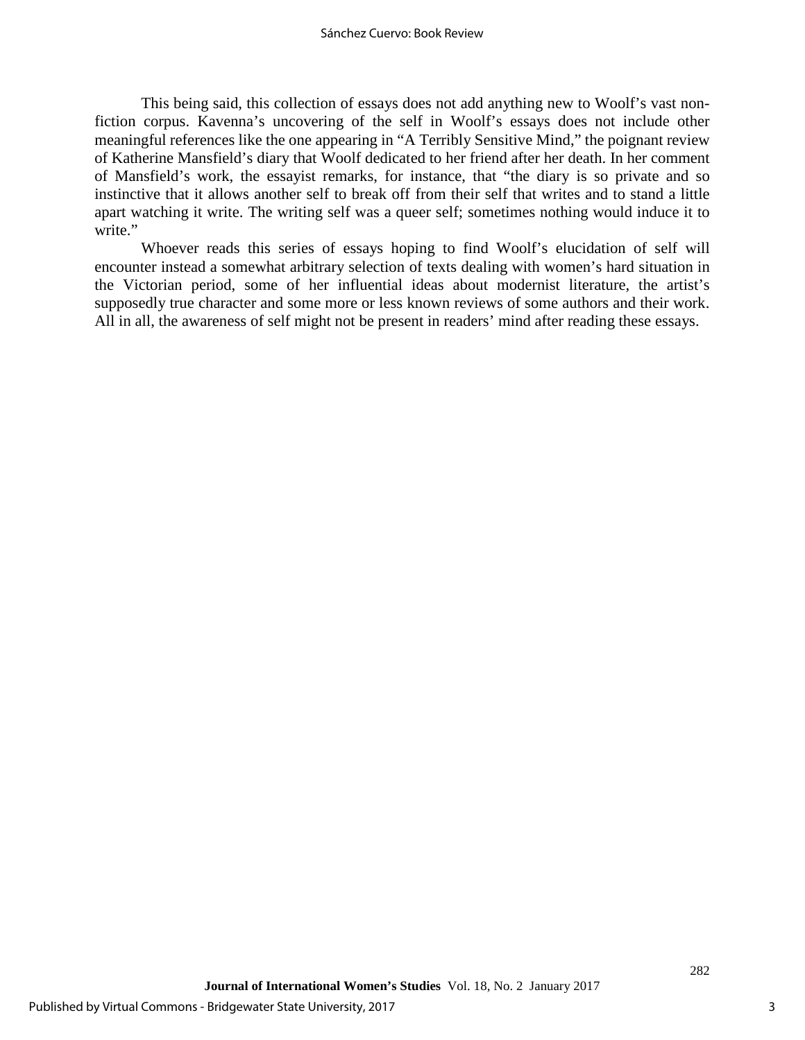This being said, this collection of essays does not add anything new to Woolf's vast nonfiction corpus. Kavenna's uncovering of the self in Woolf's essays does not include other meaningful references like the one appearing in "A Terribly Sensitive Mind," the poignant review of Katherine Mansfield's diary that Woolf dedicated to her friend after her death. In her comment of Mansfield's work, the essayist remarks, for instance, that "the diary is so private and so instinctive that it allows another self to break off from their self that writes and to stand a little apart watching it write. The writing self was a queer self; sometimes nothing would induce it to write."

Whoever reads this series of essays hoping to find Woolf's elucidation of self will encounter instead a somewhat arbitrary selection of texts dealing with women's hard situation in the Victorian period, some of her influential ideas about modernist literature, the artist's supposedly true character and some more or less known reviews of some authors and their work. All in all, the awareness of self might not be present in readers' mind after reading these essays.